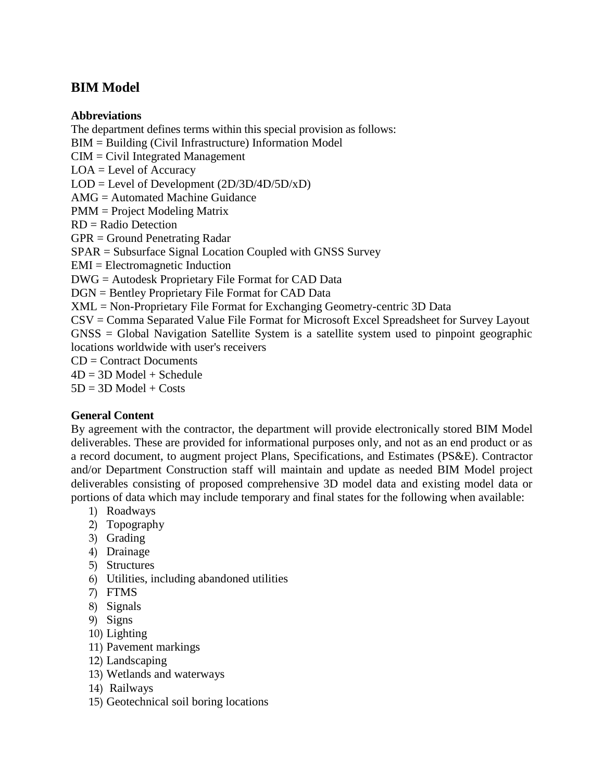# **BIM Model**

#### **Abbreviations**

The department defines terms within this special provision as follows: BIM = Building (Civil Infrastructure) Information Model CIM = Civil Integrated Management LOA = Level of Accuracy LOD = Level of Development (2D/3D/4D/5D/xD) AMG = Automated Machine Guidance PMM = Project Modeling Matrix RD = Radio Detection GPR = Ground Penetrating Radar SPAR = Subsurface Signal Location Coupled with GNSS Survey EMI = Electromagnetic Induction DWG = Autodesk Proprietary File Format for CAD Data DGN = Bentley Proprietary File Format for CAD Data XML = Non-Proprietary File Format for Exchanging Geometry-centric 3D Data CSV = Comma Separated Value File Format for Microsoft Excel Spreadsheet for Survey Layout GNSS = Global Navigation Satellite System is a satellite system used to pinpoint geographic locations worldwide with user's receivers  $CD =$  Contract Documents  $4D = 3D$  Model + Schedule

 $5D = 3D$  Model + Costs

#### **General Content**

By agreement with the contractor, the department will provide electronically stored BIM Model deliverables. These are provided for informational purposes only, and not as an end product or as a record document, to augment project Plans, Specifications, and Estimates (PS&E). Contractor and/or Department Construction staff will maintain and update as needed BIM Model project deliverables consisting of proposed comprehensive 3D model data and existing model data or portions of data which may include temporary and final states for the following when available:

- 1) Roadways
- 2) Topography
- 3) Grading
- 4) Drainage
- 5) Structures
- 6) Utilities, including abandoned utilities
- 7) FTMS
- 8) Signals
- 9) Signs
- 10) Lighting
- 11) Pavement markings
- 12) Landscaping
- 13) Wetlands and waterways
- 14) Railways
- 15) Geotechnical soil boring locations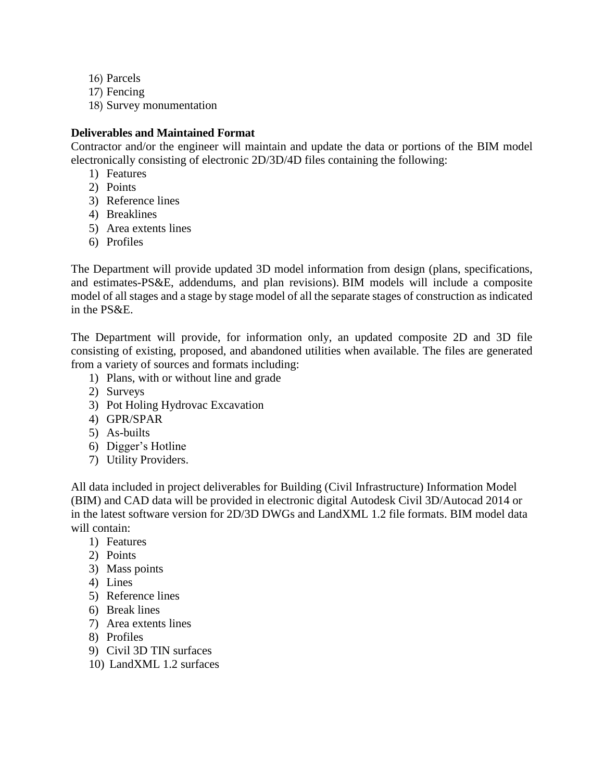- 16) Parcels
- 17) Fencing
- 18) Survey monumentation

### **Deliverables and Maintained Format**

Contractor and/or the engineer will maintain and update the data or portions of the BIM model electronically consisting of electronic 2D/3D/4D files containing the following:

- 1) Features
- 2) Points
- 3) Reference lines
- 4) Breaklines
- 5) Area extents lines
- 6) Profiles

The Department will provide updated 3D model information from design (plans, specifications, and estimates-PS&E, addendums, and plan revisions). BIM models will include a composite model of all stages and a stage by stage model of all the separate stages of construction as indicated in the PS&E.

The Department will provide, for information only, an updated composite 2D and 3D file consisting of existing, proposed, and abandoned utilities when available. The files are generated from a variety of sources and formats including:

- 1) Plans, with or without line and grade
- 2) Surveys
- 3) Pot Holing Hydrovac Excavation
- 4) GPR/SPAR
- 5) As-builts
- 6) Digger's Hotline
- 7) Utility Providers.

All data included in project deliverables for Building (Civil Infrastructure) Information Model (BIM) and CAD data will be provided in electronic digital Autodesk Civil 3D/Autocad 2014 or in the latest software version for 2D/3D DWGs and LandXML 1.2 file formats. BIM model data will contain:

- 1) Features
- 2) Points
- 3) Mass points
- 4) Lines
- 5) Reference lines
- 6) Break lines
- 7) Area extents lines
- 8) Profiles
- 9) Civil 3D TIN surfaces
- 10) LandXML 1.2 surfaces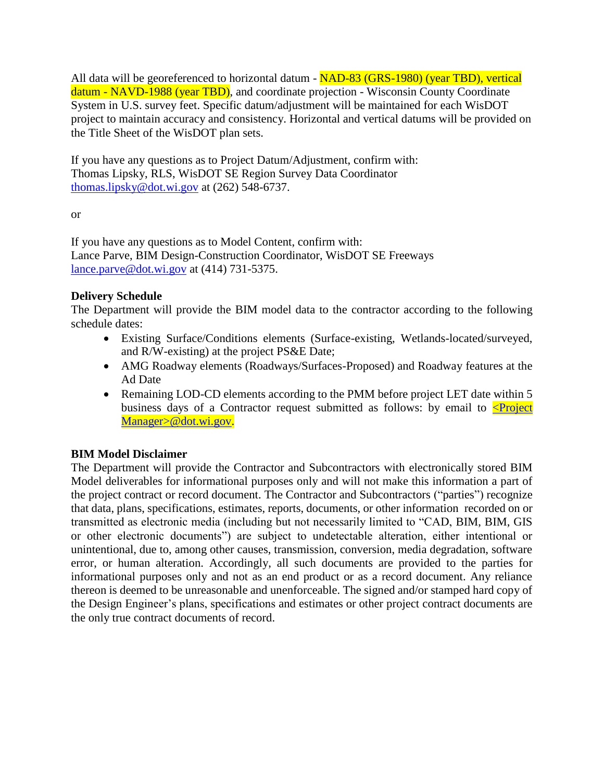All data will be georeferenced to horizontal datum - NAD-83 (GRS-1980) (year TBD), vertical datum - NAVD-1988 (year TBD), and coordinate projection - Wisconsin County Coordinate System in U.S. survey feet. Specific datum/adjustment will be maintained for each WisDOT project to maintain accuracy and consistency. Horizontal and vertical datums will be provided on the Title Sheet of the WisDOT plan sets.

If you have any questions as to Project Datum/Adjustment, confirm with: Thomas Lipsky, RLS, WisDOT SE Region Survey Data Coordinator [thomas.lipsky@dot.wi.gov](mailto:thomas.lipsky@dot.wi.gov) at (262) 548-6737.

or

If you have any questions as to Model Content, confirm with: Lance Parve, BIM Design-Construction Coordinator, WisDOT SE Freeways [lance.parve@dot.wi.gov](mailto:lance.parve@dot.wi.gov) at (414) 731-5375.

#### **Delivery Schedule**

The Department will provide the BIM model data to the contractor according to the following schedule dates:

- Existing Surface/Conditions elements (Surface-existing, Wetlands-located/surveyed, and R/W-existing) at the project PS&E Date;
- AMG Roadway elements (Roadways/Surfaces-Proposed) and Roadway features at the Ad Date
- Remaining LOD-CD elements according to the PMM before project LET date within 5 business days of a Contractor request submitted as follows: by email to  $\leq$ Project [Manager>@dot.wi.gov.](mailto:%3cProject%20Manager%3e@dot.wi.gov)

## **BIM Model Disclaimer**

The Department will provide the Contractor and Subcontractors with electronically stored BIM Model deliverables for informational purposes only and will not make this information a part of the project contract or record document. The Contractor and Subcontractors ("parties") recognize that data, plans, specifications, estimates, reports, documents, or other information recorded on or transmitted as electronic media (including but not necessarily limited to "CAD, BIM, BIM, GIS or other electronic documents") are subject to undetectable alteration, either intentional or unintentional, due to, among other causes, transmission, conversion, media degradation, software error, or human alteration. Accordingly, all such documents are provided to the parties for informational purposes only and not as an end product or as a record document. Any reliance thereon is deemed to be unreasonable and unenforceable. The signed and/or stamped hard copy of the Design Engineer's plans, specifications and estimates or other project contract documents are the only true contract documents of record.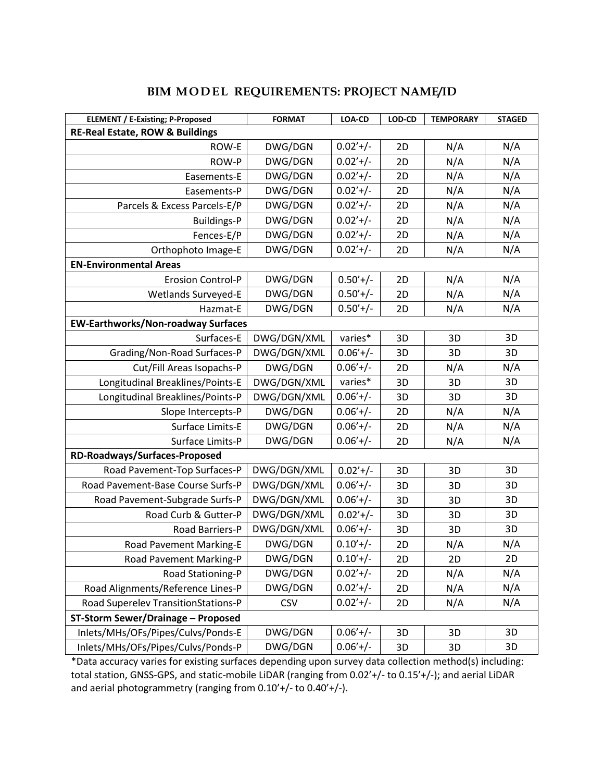| <b>ELEMENT / E-Existing; P-Proposed</b>    | <b>FORMAT</b> | LOA-CD      | LOD-CD | <b>TEMPORARY</b> | <b>STAGED</b> |  |  |  |
|--------------------------------------------|---------------|-------------|--------|------------------|---------------|--|--|--|
| <b>RE-Real Estate, ROW &amp; Buildings</b> |               |             |        |                  |               |  |  |  |
| ROW-E                                      | DWG/DGN       | $0.02'+/-$  | 2D     | N/A              | N/A           |  |  |  |
| ROW-P                                      | DWG/DGN       | $0.02'+/-$  | 2D     | N/A              | N/A           |  |  |  |
| Easements-E                                | DWG/DGN       | $0.02'+/-$  | 2D     | N/A              | N/A           |  |  |  |
| Easements-P                                | DWG/DGN       | $0.02'+/-$  | 2D     | N/A              | N/A           |  |  |  |
| Parcels & Excess Parcels-E/P               | DWG/DGN       | $0.02'+/-$  | 2D     | N/A              | N/A           |  |  |  |
| <b>Buildings-P</b>                         | DWG/DGN       | $0.02'+/-$  | 2D     | N/A              | N/A           |  |  |  |
| Fences-E/P                                 | DWG/DGN       | $0.02'+/-$  | 2D     | N/A              | N/A           |  |  |  |
| Orthophoto Image-E                         | DWG/DGN       | $0.02'+/-$  | 2D     | N/A              | N/A           |  |  |  |
| <b>EN-Environmental Areas</b>              |               |             |        |                  |               |  |  |  |
| <b>Erosion Control-P</b>                   | DWG/DGN       | $0.50'+$ /- | 2D     | N/A              | N/A           |  |  |  |
| <b>Wetlands Surveyed-E</b>                 | DWG/DGN       | $0.50'+/-$  | 2D     | N/A              | N/A           |  |  |  |
| Hazmat-E                                   | DWG/DGN       | $0.50'+/-$  | 2D     | N/A              | N/A           |  |  |  |
| <b>EW-Earthworks/Non-roadway Surfaces</b>  |               |             |        |                  |               |  |  |  |
| Surfaces-E                                 | DWG/DGN/XML   | varies*     | 3D     | 3D               | 3D            |  |  |  |
| Grading/Non-Road Surfaces-P                | DWG/DGN/XML   | $0.06'+/-$  | 3D     | 3D               | 3D            |  |  |  |
| Cut/Fill Areas Isopachs-P                  | DWG/DGN       | $0.06'+/-$  | 2D     | N/A              | N/A           |  |  |  |
| Longitudinal Breaklines/Points-E           | DWG/DGN/XML   | varies*     | 3D     | 3D               | 3D            |  |  |  |
| Longitudinal Breaklines/Points-P           | DWG/DGN/XML   | $0.06'+/-$  | 3D     | 3D               | 3D            |  |  |  |
| Slope Intercepts-P                         | DWG/DGN       | $0.06'+/-$  | 2D     | N/A              | N/A           |  |  |  |
| Surface Limits-E                           | DWG/DGN       | $0.06'+/-$  | 2D     | N/A              | N/A           |  |  |  |
| Surface Limits-P                           | DWG/DGN       | $0.06'+/-$  | 2D     | N/A              | N/A           |  |  |  |
| RD-Roadways/Surfaces-Proposed              |               |             |        |                  |               |  |  |  |
| Road Pavement-Top Surfaces-P               | DWG/DGN/XML   | $0.02'+/-$  | 3D     | 3D               | 3D            |  |  |  |
| Road Pavement-Base Course Surfs-P          | DWG/DGN/XML   | $0.06'+/-$  | 3D     | 3D               | 3D            |  |  |  |
| Road Pavement-Subgrade Surfs-P             | DWG/DGN/XML   | $0.06'+/-$  | 3D     | 3D               | 3D            |  |  |  |
| Road Curb & Gutter-P                       | DWG/DGN/XML   | $0.02'+/-$  | 3D     | 3D               | 3D            |  |  |  |
| Road Barriers-P                            | DWG/DGN/XML   | $0.06'+/-$  | 3D     | 3D               | 3D            |  |  |  |
| Road Pavement Marking-E                    | DWG/DGN       | $0.10'+$ /- | 2D     | N/A              | N/A           |  |  |  |
| Road Pavement Marking-P                    | DWG/DGN       | $0.10'+$ /- | 2D     | 2D               | 2D            |  |  |  |
| Road Stationing-P                          | DWG/DGN       | $0.02'+/-$  | 2D     | N/A              | N/A           |  |  |  |
| Road Alignments/Reference Lines-P          | DWG/DGN       | $0.02'+/-$  | 2D     | N/A              | N/A           |  |  |  |
| Road Superelev TransitionStations-P        | <b>CSV</b>    | $0.02'+/-$  | 2D     | N/A              | N/A           |  |  |  |
| <b>ST-Storm Sewer/Drainage - Proposed</b>  |               |             |        |                  |               |  |  |  |
| Inlets/MHs/OFs/Pipes/Culvs/Ponds-E         | DWG/DGN       | $0.06'+/-$  | 3D     | 3D               | 3D            |  |  |  |
| Inlets/MHs/OFs/Pipes/Culvs/Ponds-P         | DWG/DGN       | $0.06'+/-$  | 3D     | 3D               | 3D            |  |  |  |

### **BIM MODEL REQUIREMENTS: PROJECT NAME/ID**

\*Data accuracy varies for existing surfaces depending upon survey data collection method(s) including: total station, GNSS-GPS, and static-mobile LiDAR (ranging from 0.02'+/- to 0.15'+/-); and aerial LiDAR and aerial photogrammetry (ranging from 0.10'+/- to 0.40'+/-).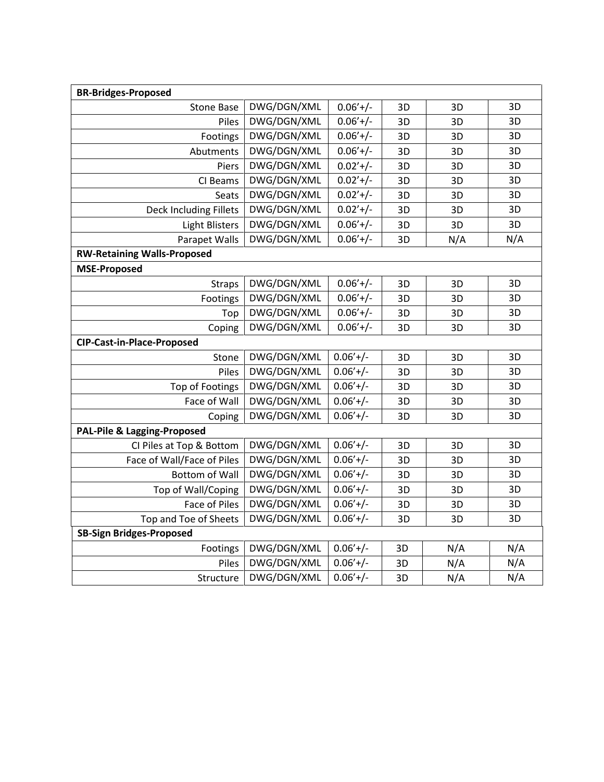| <b>BR-Bridges-Proposed</b>             |             |            |    |     |     |  |  |  |
|----------------------------------------|-------------|------------|----|-----|-----|--|--|--|
| <b>Stone Base</b>                      | DWG/DGN/XML | $0.06'+/-$ | 3D | 3D  | 3D  |  |  |  |
| Piles                                  | DWG/DGN/XML | $0.06'+/-$ | 3D | 3D  | 3D  |  |  |  |
| Footings                               | DWG/DGN/XML | $0.06'+/-$ | 3D | 3D  | 3D  |  |  |  |
| Abutments                              | DWG/DGN/XML | $0.06'+/-$ | 3D | 3D  | 3D  |  |  |  |
| Piers                                  | DWG/DGN/XML | $0.02'+/-$ | 3D | 3D  | 3D  |  |  |  |
| CI Beams                               | DWG/DGN/XML | $0.02'+/-$ | 3D | 3D  | 3D  |  |  |  |
| Seats                                  | DWG/DGN/XML | $0.02'+/-$ | 3D | 3D  | 3D  |  |  |  |
| Deck Including Fillets                 | DWG/DGN/XML | $0.02'+/-$ | 3D | 3D  | 3D  |  |  |  |
| <b>Light Blisters</b>                  | DWG/DGN/XML | $0.06'+/-$ | 3D | 3D  | 3D  |  |  |  |
| Parapet Walls                          | DWG/DGN/XML | $0.06'+/-$ | 3D | N/A | N/A |  |  |  |
| <b>RW-Retaining Walls-Proposed</b>     |             |            |    |     |     |  |  |  |
| <b>MSE-Proposed</b>                    |             |            |    |     |     |  |  |  |
| <b>Straps</b>                          | DWG/DGN/XML | $0.06'+/-$ | 3D | 3D  | 3D  |  |  |  |
| Footings                               | DWG/DGN/XML | $0.06'+/-$ | 3D | 3D  | 3D  |  |  |  |
| Top                                    | DWG/DGN/XML | $0.06'+/-$ | 3D | 3D  | 3D  |  |  |  |
| Coping                                 | DWG/DGN/XML | $0.06'+/-$ | 3D | 3D  | 3D  |  |  |  |
| <b>CIP-Cast-in-Place-Proposed</b>      |             |            |    |     |     |  |  |  |
| Stone                                  | DWG/DGN/XML | $0.06'+/-$ | 3D | 3D  | 3D  |  |  |  |
| Piles                                  | DWG/DGN/XML | $0.06'+/-$ | 3D | 3D  | 3D  |  |  |  |
| <b>Top of Footings</b>                 | DWG/DGN/XML | $0.06'+/-$ | 3D | 3D  | 3D  |  |  |  |
| Face of Wall                           | DWG/DGN/XML | $0.06'+/-$ | 3D | 3D  | 3D  |  |  |  |
| Coping                                 | DWG/DGN/XML | $0.06'+/-$ | 3D | 3D  | 3D  |  |  |  |
| <b>PAL-Pile &amp; Lagging-Proposed</b> |             |            |    |     |     |  |  |  |
| CI Piles at Top & Bottom               | DWG/DGN/XML | $0.06'+/-$ | 3D | 3D  | 3D  |  |  |  |
| Face of Wall/Face of Piles             | DWG/DGN/XML | $0.06'+/-$ | 3D | 3D  | 3D  |  |  |  |
| <b>Bottom of Wall</b>                  | DWG/DGN/XML | $0.06'+/-$ | 3D | 3D  | 3D  |  |  |  |
| Top of Wall/Coping                     | DWG/DGN/XML | $0.06'+/-$ | 3D | 3D  | 3D  |  |  |  |
| Face of Piles                          | DWG/DGN/XML | $0.06'+/-$ | 3D | 3D  | 3D  |  |  |  |
| Top and Toe of Sheets                  | DWG/DGN/XML | $0.06'+/-$ | 3D | 3D  | 3D  |  |  |  |
| <b>SB-Sign Bridges-Proposed</b>        |             |            |    |     |     |  |  |  |
| Footings                               | DWG/DGN/XML | $0.06'+/-$ | 3D | N/A | N/A |  |  |  |
| Piles                                  | DWG/DGN/XML | $0.06'+/-$ | 3D | N/A | N/A |  |  |  |
| Structure                              | DWG/DGN/XML | $0.06'+/-$ | 3D | N/A | N/A |  |  |  |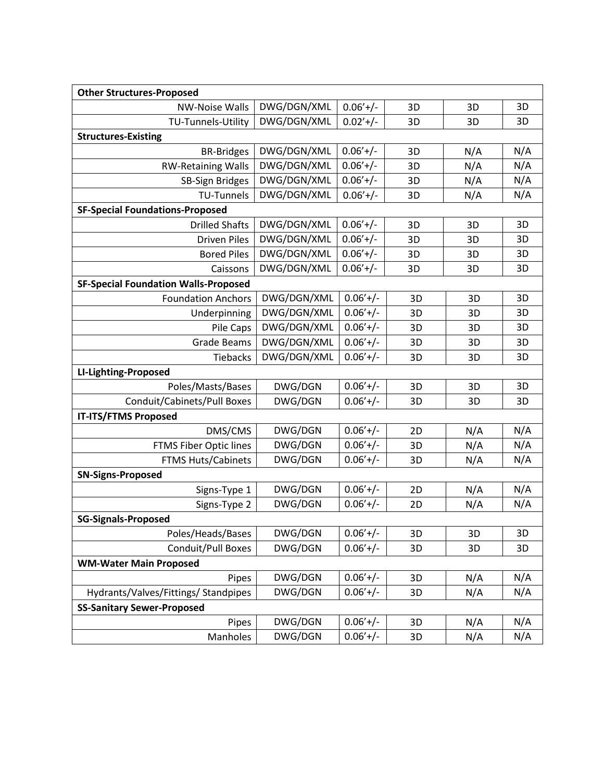| <b>Other Structures-Proposed</b>            |             |            |    |     |     |  |  |  |
|---------------------------------------------|-------------|------------|----|-----|-----|--|--|--|
| <b>NW-Noise Walls</b>                       | DWG/DGN/XML | $0.06'+/-$ | 3D | 3D  | 3D  |  |  |  |
| TU-Tunnels-Utility                          | DWG/DGN/XML | $0.02'+/-$ | 3D | 3D  | 3D  |  |  |  |
| <b>Structures-Existing</b>                  |             |            |    |     |     |  |  |  |
| <b>BR-Bridges</b>                           | DWG/DGN/XML | $0.06'+/-$ | 3D | N/A | N/A |  |  |  |
| <b>RW-Retaining Walls</b>                   | DWG/DGN/XML | $0.06'+/-$ | 3D | N/A | N/A |  |  |  |
| <b>SB-Sign Bridges</b>                      | DWG/DGN/XML | $0.06'+/-$ | 3D | N/A | N/A |  |  |  |
| <b>TU-Tunnels</b>                           | DWG/DGN/XML | $0.06'+/-$ | 3D | N/A | N/A |  |  |  |
| <b>SF-Special Foundations-Proposed</b>      |             |            |    |     |     |  |  |  |
| <b>Drilled Shafts</b>                       | DWG/DGN/XML | $0.06'+/-$ | 3D | 3D  | 3D  |  |  |  |
| <b>Driven Piles</b>                         | DWG/DGN/XML | $0.06'+/-$ | 3D | 3D  | 3D  |  |  |  |
| <b>Bored Piles</b>                          | DWG/DGN/XML | $0.06'+/-$ | 3D | 3D  | 3D  |  |  |  |
| Caissons                                    | DWG/DGN/XML | $0.06'+/-$ | 3D | 3D  | 3D  |  |  |  |
| <b>SF-Special Foundation Walls-Proposed</b> |             |            |    |     |     |  |  |  |
| <b>Foundation Anchors</b>                   | DWG/DGN/XML | $0.06'+/-$ | 3D | 3D  | 3D  |  |  |  |
| Underpinning                                | DWG/DGN/XML | $0.06'+/-$ | 3D | 3D  | 3D  |  |  |  |
| Pile Caps                                   | DWG/DGN/XML | $0.06'+/-$ | 3D | 3D  | 3D  |  |  |  |
| <b>Grade Beams</b>                          | DWG/DGN/XML | $0.06'+/-$ | 3D | 3D  | 3D  |  |  |  |
| <b>Tiebacks</b>                             | DWG/DGN/XML | $0.06'+/-$ | 3D | 3D  | 3D  |  |  |  |
| LI-Lighting-Proposed                        |             |            |    |     |     |  |  |  |
| Poles/Masts/Bases                           | DWG/DGN     | $0.06'+/-$ | 3D | 3D  | 3D  |  |  |  |
| Conduit/Cabinets/Pull Boxes                 | DWG/DGN     | $0.06'+/-$ | 3D | 3D  | 3D  |  |  |  |
| <b>IT-ITS/FTMS Proposed</b>                 |             |            |    |     |     |  |  |  |
| DMS/CMS                                     | DWG/DGN     | $0.06'+/-$ | 2D | N/A | N/A |  |  |  |
| FTMS Fiber Optic lines                      | DWG/DGN     | $0.06'+/-$ | 3D | N/A | N/A |  |  |  |
| <b>FTMS Huts/Cabinets</b>                   | DWG/DGN     | $0.06'+/-$ | 3D | N/A | N/A |  |  |  |
| <b>SN-Signs-Proposed</b>                    |             |            |    |     |     |  |  |  |
| Signs-Type 1                                | DWG/DGN     | $0.06'+/-$ | 2D | N/A | N/A |  |  |  |
| Signs-Type 2                                | DWG/DGN     | $0.06'+/-$ | 2D | N/A | N/A |  |  |  |
| <b>SG-Signals-Proposed</b>                  |             |            |    |     |     |  |  |  |
| Poles/Heads/Bases                           | DWG/DGN     | $0.06'+/-$ | 3D | 3D  | 3D  |  |  |  |
| Conduit/Pull Boxes                          | DWG/DGN     | $0.06'+/-$ | 3D | 3D  | 3D  |  |  |  |
| <b>WM-Water Main Proposed</b>               |             |            |    |     |     |  |  |  |
| Pipes                                       | DWG/DGN     | $0.06'+/-$ | 3D | N/A | N/A |  |  |  |
| Hydrants/Valves/Fittings/ Standpipes        | DWG/DGN     | $0.06'+/-$ | 3D | N/A | N/A |  |  |  |
| <b>SS-Sanitary Sewer-Proposed</b>           |             |            |    |     |     |  |  |  |
| Pipes                                       | DWG/DGN     | $0.06'+/-$ | 3D | N/A | N/A |  |  |  |
| Manholes                                    | DWG/DGN     | $0.06'+/-$ | 3D | N/A | N/A |  |  |  |